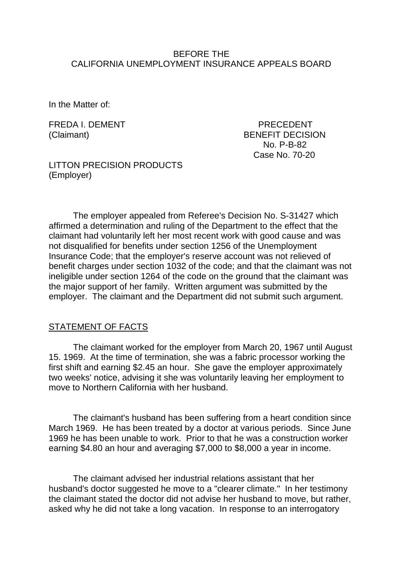## BEFORE THE CALIFORNIA UNEMPLOYMENT INSURANCE APPEALS BOARD

In the Matter of:

FREDA I. DEMENT THE PRECEDENT (Claimant) BENEFIT DECISION No. P-B-82 Case No. 70-20

LITTON PRECISION PRODUCTS (Employer)

The employer appealed from Referee's Decision No. S-31427 which affirmed a determination and ruling of the Department to the effect that the claimant had voluntarily left her most recent work with good cause and was not disqualified for benefits under section 1256 of the Unemployment Insurance Code; that the employer's reserve account was not relieved of benefit charges under section 1032 of the code; and that the claimant was not ineligible under section 1264 of the code on the ground that the claimant was the major support of her family. Written argument was submitted by the employer. The claimant and the Department did not submit such argument.

### STATEMENT OF FACTS

The claimant worked for the employer from March 20, 1967 until August 15. 1969. At the time of termination, she was a fabric processor working the first shift and earning \$2.45 an hour. She gave the employer approximately two weeks' notice, advising it she was voluntarily leaving her employment to move to Northern California with her husband.

The claimant's husband has been suffering from a heart condition since March 1969. He has been treated by a doctor at various periods. Since June 1969 he has been unable to work. Prior to that he was a construction worker earning \$4.80 an hour and averaging \$7,000 to \$8,000 a year in income.

The claimant advised her industrial relations assistant that her husband's doctor suggested he move to a "clearer climate." In her testimony the claimant stated the doctor did not advise her husband to move, but rather, asked why he did not take a long vacation. In response to an interrogatory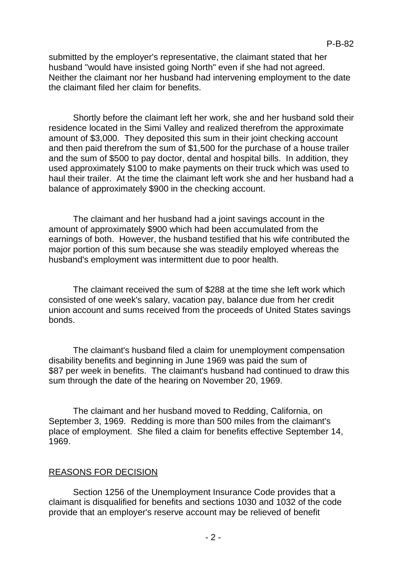submitted by the employer's representative, the claimant stated that her husband "would have insisted going North" even if she had not agreed. Neither the claimant nor her husband had intervening employment to the date the claimant filed her claim for benefits.

Shortly before the claimant left her work, she and her husband sold their residence located in the Simi Valley and realized therefrom the approximate amount of \$3,000. They deposited this sum in their joint checking account and then paid therefrom the sum of \$1,500 for the purchase of a house trailer and the sum of \$500 to pay doctor, dental and hospital bills. In addition, they used approximately \$100 to make payments on their truck which was used to haul their trailer. At the time the claimant left work she and her husband had a balance of approximately \$900 in the checking account.

The claimant and her husband had a joint savings account in the amount of approximately \$900 which had been accumulated from the earnings of both. However, the husband testified that his wife contributed the major portion of this sum because she was steadily employed whereas the husband's employment was intermittent due to poor health.

The claimant received the sum of \$288 at the time she left work which consisted of one week's salary, vacation pay, balance due from her credit union account and sums received from the proceeds of United States savings bonds.

The claimant's husband filed a claim for unemployment compensation disability benefits and beginning in June 1969 was paid the sum of \$87 per week in benefits. The claimant's husband had continued to draw this sum through the date of the hearing on November 20, 1969.

The claimant and her husband moved to Redding, California, on September 3, 1969. Redding is more than 500 miles from the claimant's place of employment. She filed a claim for benefits effective September 14, 1969.

#### REASONS FOR DECISION

Section 1256 of the Unemployment Insurance Code provides that a claimant is disqualified for benefits and sections 1030 and 1032 of the code provide that an employer's reserve account may be relieved of benefit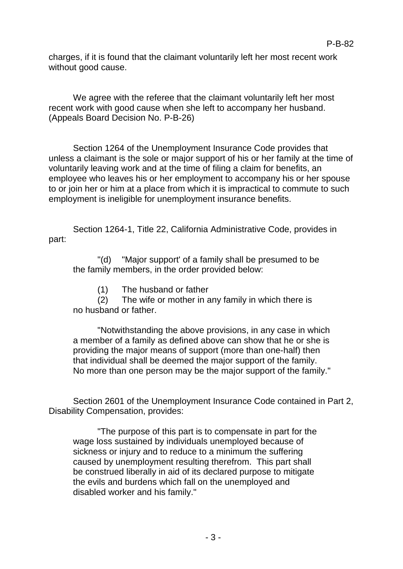charges, if it is found that the claimant voluntarily left her most recent work without good cause.

We agree with the referee that the claimant voluntarily left her most recent work with good cause when she left to accompany her husband. (Appeals Board Decision No. P-B-26)

Section 1264 of the Unemployment Insurance Code provides that unless a claimant is the sole or major support of his or her family at the time of voluntarily leaving work and at the time of filing a claim for benefits, an employee who leaves his or her employment to accompany his or her spouse to or join her or him at a place from which it is impractical to commute to such employment is ineligible for unemployment insurance benefits.

Section 1264-1, Title 22, California Administrative Code, provides in part:

"(d) "Major support' of a family shall be presumed to be the family members, in the order provided below:

(1) The husband or father

(2) The wife or mother in any family in which there is no husband or father.

"Notwithstanding the above provisions, in any case in which a member of a family as defined above can show that he or she is providing the major means of support (more than one-half) then that individual shall be deemed the major support of the family. No more than one person may be the major support of the family."

Section 2601 of the Unemployment Insurance Code contained in Part 2, Disability Compensation, provides:

"The purpose of this part is to compensate in part for the wage loss sustained by individuals unemployed because of sickness or injury and to reduce to a minimum the suffering caused by unemployment resulting therefrom. This part shall be construed liberally in aid of its declared purpose to mitigate the evils and burdens which fall on the unemployed and disabled worker and his family."